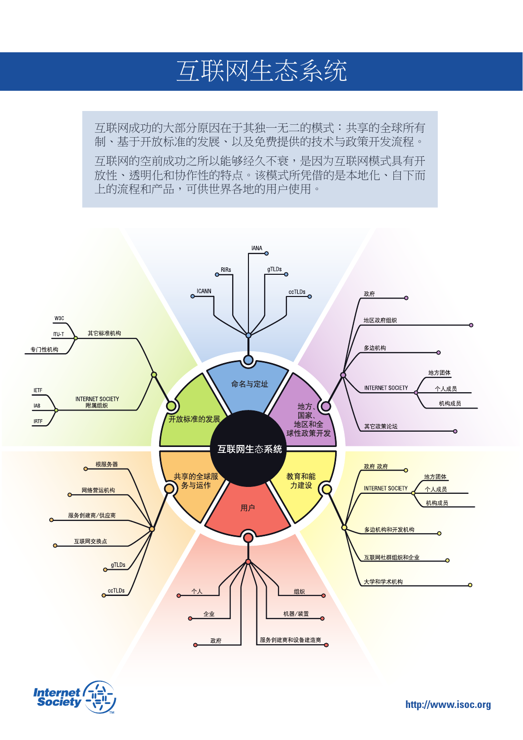## 互联网生态系统

互联网成功的大部分原因在于其独一无二的模式:共享的全球所有 制、基于开放标准的发展、以及免费提供的技术与政策开发流程。 **互联网的空前成功之所以能够经久不衰,是因为互联网模式具有开** 放性、透明化和协作性的特点。该模式所凭借的是本地化、自下而 上的流程和产品,可供世界各地的用户使用。





**http://www.isoc.org**